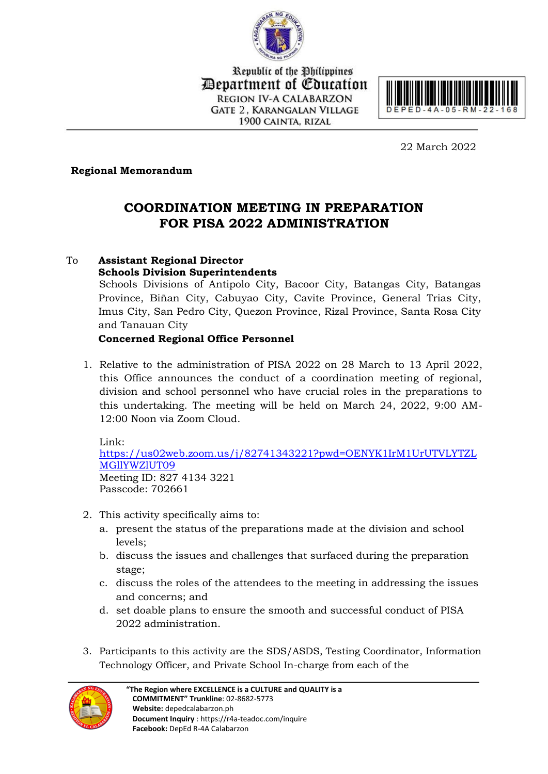

Republic of the Philippines Department of Education **REGION IV-A CALABARZON GATE 2. KARANGALAN VILLAGE** 1900 CAINTA, RIZAL



22 March 2022

## **Regional Memorandum**

## **COORDINATION MEETING IN PREPARATION FOR PISA 2022 ADMINISTRATION**

## To **Assistant Regional Director**

**Schools Division Superintendents** Schools Divisions of Antipolo City, Bacoor City, Batangas City, Batangas Province, Biñan City, Cabuyao City, Cavite Province, General Trias City, Imus City, San Pedro City, Quezon Province, Rizal Province, Santa Rosa City and Tanauan City

## **Concerned Regional Office Personnel**

1. Relative to the administration of PISA 2022 on 28 March to 13 April 2022, this Office announces the conduct of a coordination meeting of regional, division and school personnel who have crucial roles in the preparations to this undertaking. The meeting will be held on March 24, 2022, 9:00 AM-12:00 Noon via Zoom Cloud.

Link: [https://us02web.zoom.us/j/82741343221?pwd=OENYK1IrM1UrUTVLYTZL](https://us02web.zoom.us/j/82741343221?pwd=OENYK1IrM1UrUTVLYTZLMGllYWZlUT09) [MGllYWZlUT09](https://us02web.zoom.us/j/82741343221?pwd=OENYK1IrM1UrUTVLYTZLMGllYWZlUT09) Meeting ID: 827 4134 3221 Passcode: 702661

- 2. This activity specifically aims to:
	- a. present the status of the preparations made at the division and school levels;
	- b. discuss the issues and challenges that surfaced during the preparation stage;
	- c. discuss the roles of the attendees to the meeting in addressing the issues and concerns; and
	- d. set doable plans to ensure the smooth and successful conduct of PISA 2022 administration.
- 3. Participants to this activity are the SDS/ASDS, Testing Coordinator, Information Technology Officer, and Private School In-charge from each of the